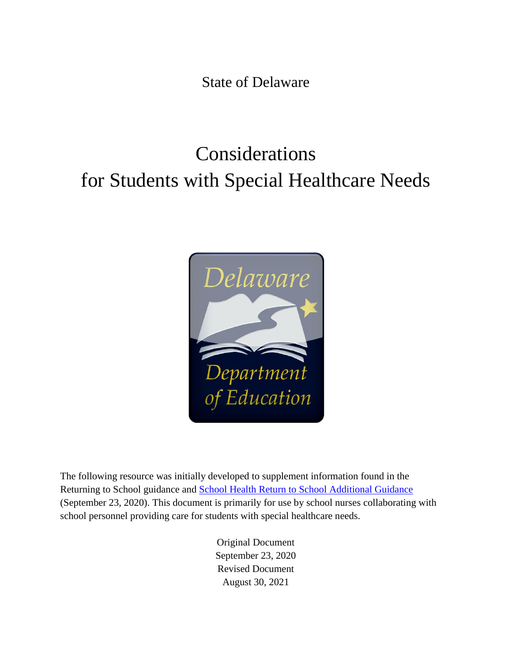State of Delaware

# Considerations for Students with Special Healthcare Needs



The following resource was initially developed to supplement information found in the Returning to School guidance and **School Health Return to School Additional Guidance** (September 23, 2020). This document is primarily for use by school nurses collaborating with school personnel providing care for students with special healthcare needs.

> Original Document September 23, 2020 Revised Document August 30, 2021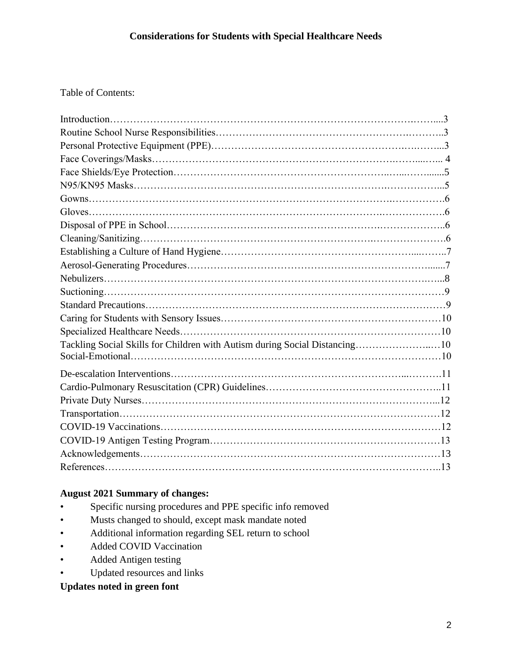# Table of Contents:

| Tackling Social Skills for Children with Autism during Social Distancing10 |  |
|----------------------------------------------------------------------------|--|
|                                                                            |  |
|                                                                            |  |
|                                                                            |  |
|                                                                            |  |
|                                                                            |  |
|                                                                            |  |
|                                                                            |  |
|                                                                            |  |
|                                                                            |  |

## **August 2021 Summary of changes:**

- Specific nursing procedures and PPE specific info removed
- Musts changed to should, except mask mandate noted
- Additional information regarding SEL return to school
- Added COVID Vaccination
- Added Antigen testing
- Updated resources and links

# **Updates noted in green font**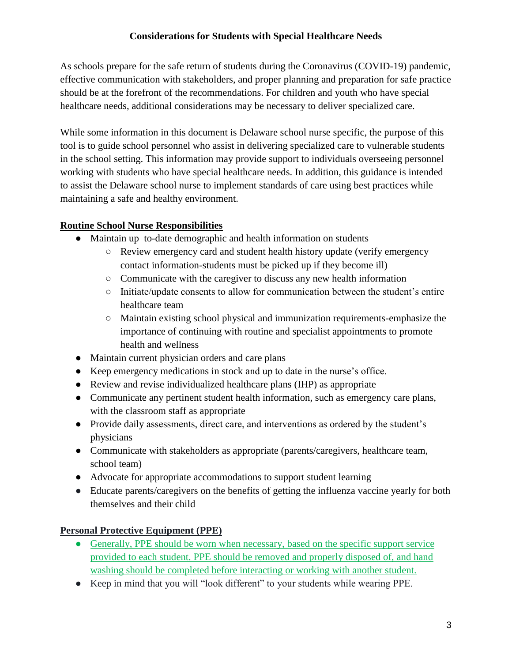As schools prepare for the safe return of students during the Coronavirus (COVID-19) pandemic, effective communication with stakeholders, and proper planning and preparation for safe practice should be at the forefront of the recommendations. For children and youth who have special healthcare needs, additional considerations may be necessary to deliver specialized care.

While some information in this document is Delaware school nurse specific, the purpose of this tool is to guide school personnel who assist in delivering specialized care to vulnerable students in the school setting. This information may provide support to individuals overseeing personnel working with students who have special healthcare needs. In addition, this guidance is intended to assist the Delaware school nurse to implement standards of care using best practices while maintaining a safe and healthy environment.

# **Routine School Nurse Responsibilities**

- Maintain up–to-date demographic and health information on students
	- Review emergency card and student health history update (verify emergency contact information-students must be picked up if they become ill)
	- Communicate with the caregiver to discuss any new health information
	- Initiate/update consents to allow for communication between the student's entire healthcare team
	- Maintain existing school physical and immunization requirements-emphasize the importance of continuing with routine and specialist appointments to promote health and wellness
- Maintain current physician orders and care plans
- Keep emergency medications in stock and up to date in the nurse's office.
- Review and revise individualized healthcare plans (IHP) as appropriate
- Communicate any pertinent student health information, such as emergency care plans, with the classroom staff as appropriate
- Provide daily assessments, direct care, and interventions as ordered by the student's physicians
- Communicate with stakeholders as appropriate (parents/caregivers, healthcare team, school team)
- Advocate for appropriate accommodations to support student learning
- Educate parents/caregivers on the benefits of getting the influenza vaccine yearly for both themselves and their child

# **Personal Protective Equipment (PPE)**

- Generally, PPE should be worn when necessary, based on the specific support service [provided to each student. PPE should be removed and properly disposed of, and hand](https://www.health.state.mn.us/diseases/coronavirus/schools/directsupport.pdf)  [washing should be completed before interacting or working with another student.](https://www.health.state.mn.us/diseases/coronavirus/schools/directsupport.pdf)
- Keep in mind that you will "look different" to your students while wearing PPE.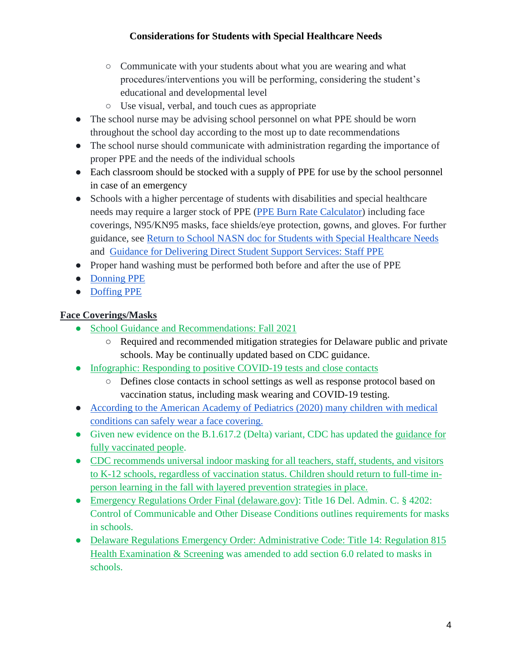- Communicate with your students about what you are wearing and what procedures/interventions you will be performing, considering the student's educational and developmental level
- Use visual, verbal, and touch cues as appropriate
- The school nurse may be advising school personnel on what PPE should be worn throughout the school day according to the most up to date recommendations
- The school nurse should communicate with administration regarding the importance of proper PPE and the needs of the individual schools
- Each classroom should be stocked with a supply of PPE for use by the school personnel in case of an emergency
- Schools with a higher percentage of students with disabilities and special healthcare needs may require a larger stock of PPE [\(PPE Burn Rate Calculator\)](https://www.cdc.gov/coronavirus/2019-ncov/hcp/ppe-strategy/burn-calculator.html) including face coverings, N95/KN95 masks, face shields/eye protection, gowns, and gloves. For further guidance, see [Return to School NASN doc for Students with Special Healthcare Needs](https://higherlogicdownload.s3.amazonaws.com/NASN/3870c72d-fff9-4ed7-833f-215de278d256/UploadedImages/PDFs/2020_07_23_Considerations_for_Post_COVID_Return_to_School_for_Students_with_Disabilities_and_Special_Healthcare_Needs.pdf) and [Guidance for Delivering Direct Student Support Services: Staff PPE](https://www.health.state.mn.us/diseases/coronavirus/schools/directsupport.pdf)
- Proper hand washing must be performed both before and after the use of PPE
- [Donning PPE](https://www.youtube.com/watch?v=H4jQUBAlBrI)
- [Doffing PPE](https://www.youtube.com/watch?v=PQxOc13DxvQ)

# **Face Coverings/Masks**

- [School Guidance and Recommendations: Fall 2021](https://www.doe.k12.de.us/cms/lib/DE01922744/Centricity/Domain/600/guidance_fall2021.pdf)
	- Required and recommended mitigation strategies for Delaware public and private schools. May be continually updated based on CDC guidance.
- [Infographic: Responding to positive COVID-19 tests and close contacts](https://www.doe.k12.de.us/cms/lib/DE01922744/Centricity/Domain/600/infographic_fall2021.pdf)
	- Defines close contacts in school settings as well as response protocol based on vaccination status, including mask wearing and COVID-19 testing.
- [According to the American Academy of Pediatrics \(2020\) many children with medical](https://services.aap.org/en/pages/2019-novel-coronavirus-covid-19-infections/clinical-guidance/covid-19-planning-considerations-return-to-in-person-education-in-schools/)  [conditions can safely wear a face covering.](https://services.aap.org/en/pages/2019-novel-coronavirus-covid-19-infections/clinical-guidance/covid-19-planning-considerations-return-to-in-person-education-in-schools/)
- Given new evidence on the B.1.617.2 (Delta) variant, CDC has updated the guidance for [fully vaccinated people.](https://www.cdc.gov/coronavirus/2019-ncov/vaccines/fully-vaccinated.html)
- [CDC recommends universal indoor masking for all teachers, staff, students, and visitors](https://www.cdc.gov/coronavirus/2019-ncov/community/schools-childcare/k-12-guidance.html#print)  [to K-12 schools, regardless of vaccination status. Children should return to full-time in](https://www.cdc.gov/coronavirus/2019-ncov/community/schools-childcare/k-12-guidance.html#print)[person learning in the fall with layered prevention strategies in place.](https://www.cdc.gov/coronavirus/2019-ncov/community/schools-childcare/k-12-guidance.html#print)
- [Emergency Regulations Order Final \(delaware.gov\):](https://governor.delaware.gov/wp-content/uploads/sites/24/2021/08/DHSS-4202-Control-of-Communicable-and-Other-Disease-Conditions.pdf) Title 16 Del. Admin. C. § 4202: Control of Communicable and Other Disease Conditions outlines requirements for masks in schools.
- [Delaware Regulations](https://governor.delaware.gov/wp-content/uploads/sites/24/2021/08/DDOE-815-Health-Examinations-and-Screening.pdf) Emergency Order: Administrative Code: Title 14: Regulation 815 [Health Examination & Screening](https://governor.delaware.gov/wp-content/uploads/sites/24/2021/08/DDOE-815-Health-Examinations-and-Screening.pdf) was amended to add section 6.0 related to masks in schools.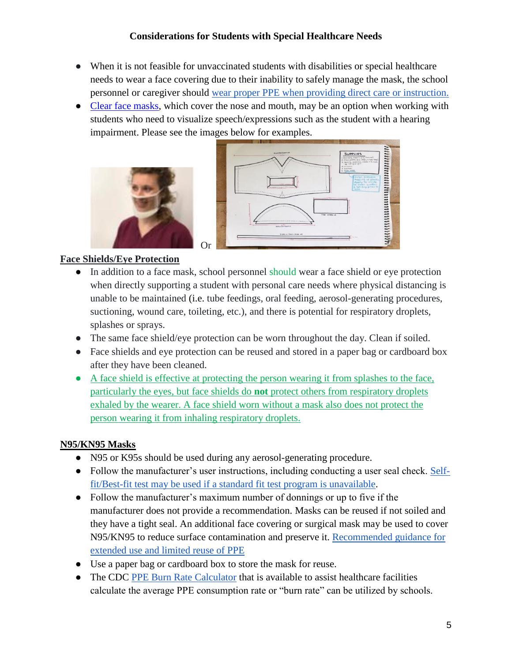- When it is not feasible for unvaccinated students with disabilities or special healthcare needs to wear a face covering due to their inability to safely manage the mask, the school personnel or caregiver should [wear proper PPE when providing direct care or instruction.](https://higherlogicdownload.s3.amazonaws.com/NASN/3870c72d-fff9-4ed7-833f-215de278d256/UploadedImages/PDFs/2020_07_23_Considerations_for_Post_COVID_Return_to_School_for_Students_with_Disabilities_and_Special_Healthcare_Needs.pdf)
- [Clear face masks,](https://www.hsdc.org/accessible-deaf-friendly-face-mask/) which cover the nose and mouth, may be an option when working with students who need to visualize speech/expressions such as the student with a hearing impairment. Please see the images below for examples.





## **Face Shields/Eye Protection**

- In addition to a face mask, school personnel should wear a face shield or eye protection when directly supporting a student with personal care needs where physical distancing is unable to be maintained (i.e. tube feedings, oral feeding, aerosol-generating procedures, suctioning, wound care, toileting, etc.), and there is potential for respiratory droplets, splashes or sprays.
- The same face shield/eye protection can be worn throughout the day. Clean if soiled.
- Face shields and eye protection can be reused and stored in a paper bag or cardboard box after they have been cleaned.
- [A face shield is effective at protecting the person wearing it from splashes to the face,](https://www.cdc.gov/coronavirus/2019-ncov/travelers/face-masks-public-transportation.html)  [particularly the eyes, but face shields do](https://www.cdc.gov/coronavirus/2019-ncov/travelers/face-masks-public-transportation.html) **not** protect others from respiratory droplets [exhaled by the wearer. A face shield worn without a mask also does not protect the](https://www.cdc.gov/coronavirus/2019-ncov/travelers/face-masks-public-transportation.html)  [person wearing it from inhaling respiratory droplets.](https://www.cdc.gov/coronavirus/2019-ncov/travelers/face-masks-public-transportation.html)

#### **N95/KN95 Masks**

- N95 or K95s should be used during any aerosol-generating procedure.
- Follow the manufacturer's user instructions, including conducting a user seal check. [Self](https://www.3m.com/3M/en_US/safety-centers-of-expertise-us/respiratory-protection/fit-testing/)[fit/Best-fit test may be used if a standard fit test program is unavailable.](https://www.3m.com/3M/en_US/safety-centers-of-expertise-us/respiratory-protection/fit-testing/)
- Follow the manufacturer's maximum number of donnings or up to five if the manufacturer does not provide a recommendation. Masks can be reused if not soiled and they have a tight seal. An additional face covering or surgical mask may be used to cover N95/KN95 to reduce surface contamination and preserve it. [Recommended guidance for](https://www.cdc.gov/niosh/topics/hcwcontrols/recommendedguidanceextuse.html)  [extended use and limited reuse of PPE](https://www.cdc.gov/niosh/topics/hcwcontrols/recommendedguidanceextuse.html)
- Use a paper bag or cardboard box to store the mask for reuse.
- The CDC [PPE Burn Rate Calculator](https://www.cdc.gov/coronavirus/2019-ncov/hcp/ppe-strategy/burn-calculator.html) that is available to assist healthcare facilities calculate the average PPE consumption rate or "burn rate" can be utilized by schools.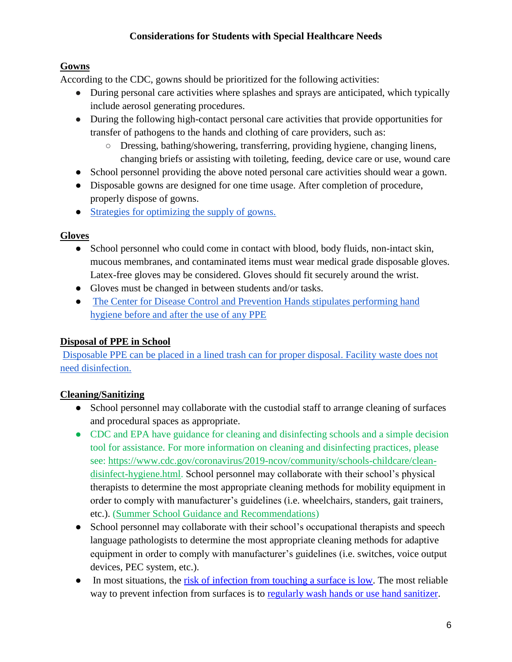# **Gowns**

According to the CDC, gowns should be prioritized for the following activities:

- During personal care activities where splashes and sprays are anticipated, which typically include aerosol generating procedures.
- During the following high-contact personal care activities that provide opportunities for transfer of pathogens to the hands and clothing of care providers, such as:
	- Dressing, bathing/showering, transferring, providing hygiene, changing linens, changing briefs or assisting with toileting, feeding, device care or use, wound care
- School personnel providing the above noted personal care activities should wear a gown.
- Disposable gowns are designed for one time usage. After completion of procedure, properly dispose of gowns.
- [Strategies for optimizing the supply of gowns.](https://www.cdc.gov/coronavirus/2019-ncov/hcp/ppe-strategy/isolation-gowns.html)

# **Gloves**

- School personnel who could come in contact with blood, body fluids, non-intact skin, mucous membranes, and contaminated items must wear medical grade disposable gloves. Latex-free gloves may be considered. Gloves should fit securely around the wrist.
- Gloves must be changed in between students and/or tasks.
- [The Center for Disease Control and Prevention Hands stipulates performing hand](https://www.cdc.gov/coronavirus/2019-ncov/hcp/using-ppe.html)  [hygiene before and after the use of any PPE](https://www.cdc.gov/coronavirus/2019-ncov/hcp/using-ppe.html)

# **Disposal of PPE in School**

Disposable PPE can be placed in a lined [trash can for proper disposal. Facility waste does not](https://www.cdc.gov/coronavirus/2019-ncov/community/general-business-faq.html#:~:text=Discard%20PPE%20into%20a%20trash,does%20not%20need%20disinfection)  [need disinfection.](https://www.cdc.gov/coronavirus/2019-ncov/community/general-business-faq.html#:~:text=Discard%20PPE%20into%20a%20trash,does%20not%20need%20disinfection)

# **Cleaning/Sanitizing**

- School personnel may collaborate with the custodial staff to arrange cleaning of surfaces and procedural spaces as appropriate.
- CDC and EPA have guidance for cleaning and disinfecting schools and a simple decision tool for assistance. For more information on cleaning and disinfecting practices, please see: [https://www.cdc.gov/coronavirus/2019-ncov/community/schools-childcare/clean](https://www.cdc.gov/coronavirus/2019-ncov/community/schools-childcare/clean-disinfect-hygiene.html)[disinfect-hygiene.html.](https://www.cdc.gov/coronavirus/2019-ncov/community/schools-childcare/clean-disinfect-hygiene.html) School personnel may collaborate with their school's physical therapists to determine the most appropriate cleaning methods for mobility equipment in order to comply with manufacturer's guidelines (i.e. wheelchairs, standers, gait trainers, etc.). [\(Summer School Guidance and Recommendations\)](https://www.doe.k12.de.us/cms/lib/DE01922744/Centricity/Domain/150/Summer%20School%20Guidance%20and%20Recommendations-07012021.pdf)
- School personnel may collaborate with their school's occupational therapists and speech language pathologists to determine the most appropriate cleaning methods for adaptive equipment in order to comply with manufacturer's guidelines (i.e. switches, voice output devices, PEC system, etc.).
- In most situations, the [risk of infection from touching a surface is low.](https://www.cdc.gov/coronavirus/2019-ncov/more/science-and-research/surface-transmission.html) The most reliable way to prevent infection from surfaces is to [regularly wash hands or use hand sanitizer.](https://www.cdc.gov/handwashing/when-how-handwashing.html)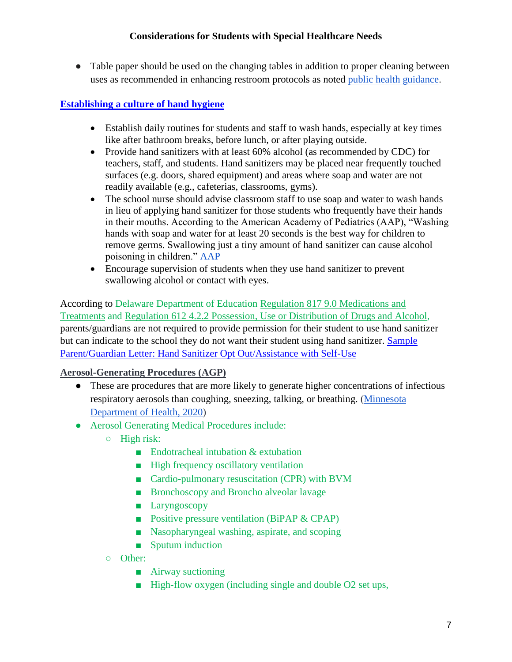• Table paper should be used on the changing tables in addition to proper cleaning between uses as recommended in enhancing restroom protocols as noted [public health guidance.](https://www.cdc.gov/coronavirus/2019-ncov/community/disinfecting-building-facility.html)

# **[Establishing a culture of hand hygiene](https://www.cdc.gov/handwashing/hand-sanitizer-use.html)**

- Establish daily routines for students and staff to wash hands, especially at key times like after bathroom breaks, before lunch, or after playing outside.
- Provide hand sanitizers with at least 60% alcohol (as recommended by CDC) for teachers, staff, and students. Hand sanitizers may be placed near frequently touched surfaces (e.g. doors, shared equipment) and areas where soap and water are not readily available (e.g., cafeterias, classrooms, gyms).
- The school nurse should advise classroom staff to use soap and water to wash hands in lieu of applying hand sanitizer for those students who frequently have their hands in their mouths. According to the American Academy of Pediatrics (AAP), "Washing hands with soap and water for at least 20 seconds is the best way for children to remove germs. Swallowing just a tiny amount of hand sanitizer can cause alcohol poisoning in children." [AAP](https://www.aappublications.org/news/2020/05/20/parentplus052020#:~:text=The%20American%20Academy%20of%20Pediatrics%20urges%20parents%20to%20keep%20hand,when%20they%20use%20hand%20sanitizer.&text=Health%20experts%20recommend%20using%20hand,virus%20that%20causes%20COVID%2D19.)
- Encourage supervision of students when they use hand sanitizer to prevent swallowing alcohol or contact with eyes.

According to Delaware Department of Education Regulation 817 [9.0 Medications and](https://regulations.delaware.gov/AdminCode/title14/800/817.shtml)  [Treatments](https://regulations.delaware.gov/AdminCode/title14/800/817.shtml) and [Regulation 612 4.2.2 Possession, Use or Distribution of Drugs and Alcohol,](https://regulations.delaware.gov/AdminCode/title14/600/612.shtml) parents/guardians are not required to provide permission for their student to use hand sanitizer but can indicate to the school they do not want their student using hand sanitizer. [Sample](https://www.doe.k12.de.us/cms/lib/DE01922744/Centricity/Domain/150/Sample%20Parent%20Guardian%20Letter%20Hand%20Sanitizer%20Opt%20Out%20Assistance%20with%20Self-Use.docx)  [Parent/Guardian Letter: Hand Sanitizer Opt Out/Assistance with Self-Use](https://www.doe.k12.de.us/cms/lib/DE01922744/Centricity/Domain/150/Sample%20Parent%20Guardian%20Letter%20Hand%20Sanitizer%20Opt%20Out%20Assistance%20with%20Self-Use.docx)

# **Aerosol-Generating Procedures (AGP)**

- These are procedures that are more likely to generate higher concentrations of infectious respiratory aerosols than coughing, sneezing, talking, or breathing. [\(Minnesota](https://www.health.state.mn.us/diseases/coronavirus/schools/nebulization.pdf)  [Department of Health, 2020\)](https://www.health.state.mn.us/diseases/coronavirus/schools/nebulization.pdf)
- Aerosol Generating Medical Procedures include:
	- High risk:
		- Endotracheal intubation & extubation
		- High frequency oscillatory ventilation
		- Cardio-pulmonary resuscitation (CPR) with BVM
		- Bronchoscopy and Broncho alveolar lavage
		- Laryngoscopy
		- Positive pressure ventilation (BiPAP & CPAP)
		- Nasopharyngeal washing, aspirate, and scoping
		- Sputum induction
	- Other:
		- Airway suctioning
		- High-flow oxygen (including single and double O2 set ups,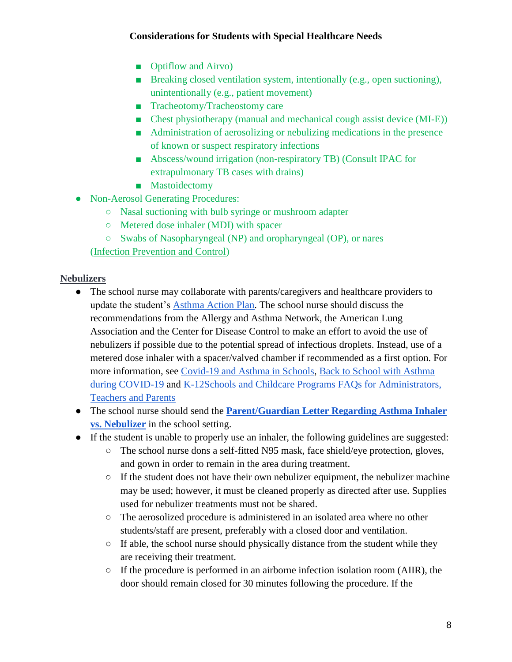- Optiflow and Airvo)
- Breaking closed ventilation system, intentionally (e.g., open suctioning), unintentionally (e.g., patient movement)
- Tracheotomy/Tracheostomy care
- Chest physiotherapy (manual and mechanical cough assist device (MI-E))
- Administration of aerosolizing or nebulizing medications in the presence of known or suspect respiratory infections
- Abscess/wound irrigation (non-respiratory TB) (Consult IPAC for extrapulmonary TB cases with drains)
- Mastoidectomy
- Non-Aerosol Generating Procedures:
	- Nasal suctioning with bulb syringe or mushroom adapter
	- Metered dose inhaler (MDI) with spacer
	- Swabs of Nasopharyngeal (NP) and oropharyngeal (OP), or nares
	- [\(Infection Prevention and Control\)](http://ipac.vch.ca/Documents/Acute%20Resource%20manual/Aerosol%20Generating%20Medical%20Procedures.pdf)

## **Nebulizers**

- The school nurse may collaborate with parents/caregivers and healthcare providers to update the student's [Asthma Action Plan.](https://www.lung.org/getmedia/d5d45eb2-d424-40a5-a0d0-003edbfcbee4/asthma-action-plan-for-home.pdf.pdf) The school nurse should discuss the recommendations from the Allergy and Asthma Network, the American Lung Association and the Center for Disease Control to make an effort to avoid the use of nebulizers if possible due to the potential spread of infectious droplets. Instead, use of a metered dose inhaler with a spacer/valved chamber if recommended as a first option. For more information, see [Covid-19 and Asthma in Schools,](https://www.aafa.org/managing-asthma-and-covid19-in-school) [Back to School with Asthma](https://www.lung.org/blog/back-to-school-with-asthma-during-covid)  [during COVID-19](https://www.lung.org/blog/back-to-school-with-asthma-during-covid) and [K-12Schools and Childcare Programs FAQs for Administrators,](https://www.cdc.gov/coronavirus/2019-ncov/community/schools-childcare/schools-faq.html)  [Teachers and Parents](https://www.cdc.gov/coronavirus/2019-ncov/community/schools-childcare/schools-faq.html)
- The school nurse should send the **Parent/Guardian [Letter Regarding Asthma Inhaler](https://www.doe.k12.de.us/Page/4243)  [vs. Nebulizer](https://www.doe.k12.de.us/Page/4243)** in the school setting.
- If the student is unable to properly use an inhaler, the following guidelines are suggested:
	- The school nurse dons a self-fitted N95 mask, face shield/eye protection, gloves, and gown in order to remain in the area during treatment.
	- If the student does not have their own nebulizer equipment, the nebulizer machine may be used; however, it must be cleaned properly as directed after use. Supplies used for nebulizer treatments must not be shared.
	- The aerosolized procedure is administered in an isolated area where no other students/staff are present, preferably with a closed door and ventilation.
	- $\circ$  If able, the school nurse should physically distance from the student while they are receiving their treatment.
	- If the procedure is performed in an airborne infection isolation room (AIIR), the door should remain closed for 30 minutes following the procedure. If the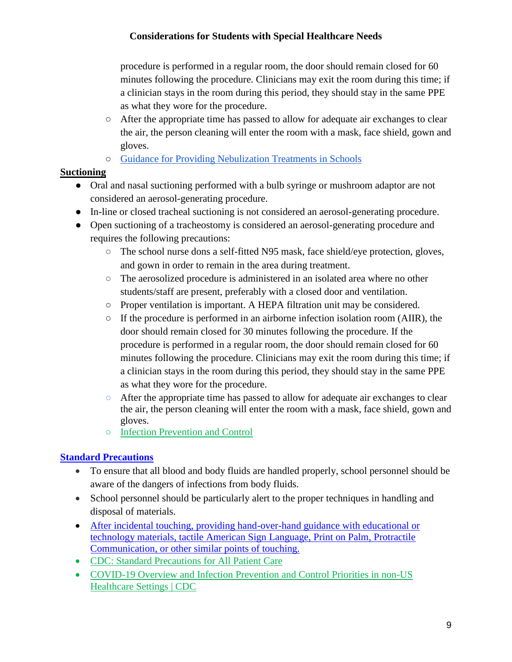procedure is performed in a regular room, the door should remain closed for 60 minutes following the procedure. Clinicians may exit the room during this time; if a clinician stays in the room during this period, they should stay in the same PPE as what they wore for the procedure.

- After the appropriate time has passed to allow for adequate air exchanges to clear the air, the person cleaning will enter the room with a mask, face shield, gown and gloves.
- [Guidance for Providing Nebulization Treatments in Schools](https://www.health.state.mn.us/diseases/coronavirus/schools/nebulization.pdf)

# **Suctioning**

- Oral and nasal suctioning performed with a bulb syringe or mushroom adaptor are not considered an aerosol-generating procedure.
- In-line or closed tracheal suctioning is not considered an aerosol-generating procedure.
- Open suctioning of a tracheostomy is considered an aerosol-generating procedure and requires the following precautions:
	- The school nurse dons a self-fitted N95 mask, face shield/eye protection, gloves, and gown in order to remain in the area during treatment.
	- The aerosolized procedure is administered in an isolated area where no other students/staff are present, preferably with a closed door and ventilation.
	- Proper ventilation is important. A HEPA filtration unit may be considered.
	- If the procedure is performed in an airborne infection isolation room (AIIR), the door should remain closed for 30 minutes following the procedure. If the procedure is performed in a regular room, the door should remain closed for 60 minutes following the procedure. Clinicians may exit the room during this time; if a clinician stays in the room during this period, they should stay in the same PPE as what they wore for the procedure.
	- After the appropriate time has passed to allow for adequate air exchanges to clear the air, the person cleaning will enter the room with a mask, face shield, gown and gloves.
	- [Infection Prevention and Control](http://ipac.vch.ca/Documents/Acute%20Resource%20manual/Aerosol%20Generating%20Medical%20Procedures.pdf)

# **[Standard Precautions](https://www.doe.k12.de.us/cms/lib/DE01922744/Centricity/Domain/150/Community%20Public%20Health%20Chapter3%20Dec%2017-19.pdf)**

- To ensure that all blood and body fluids are handled properly, school personnel should be aware of the dangers of infections from body fluids.
- School personnel should be particularly alert to the proper techniques in handling and disposal of materials.
- [After incidental touching, providing hand-over-hand guidance with educational or](https://www.health.state.mn.us/diseases/coronavirus/schools/directsupport.pdf)  [technology materials, tactile American Sign Language, Print on Palm, Protractile](https://www.health.state.mn.us/diseases/coronavirus/schools/directsupport.pdf)  [Communication, or other similar points of touching.](https://www.health.state.mn.us/diseases/coronavirus/schools/directsupport.pdf)
- [CDC: Standard Precautions for All Patient Care](http://www.cdc.gov/infectioncontrol/basics/standard-precautions.html)
- [COVID-19 Overview and Infection Prevention and Control Priorities in non-US](https://www.cdc.gov/coronavirus/2019-ncov/hcp/non-us-settings/overview/#standard-based-precautions)  [Healthcare Settings | CDC](https://www.cdc.gov/coronavirus/2019-ncov/hcp/non-us-settings/overview/#standard-based-precautions)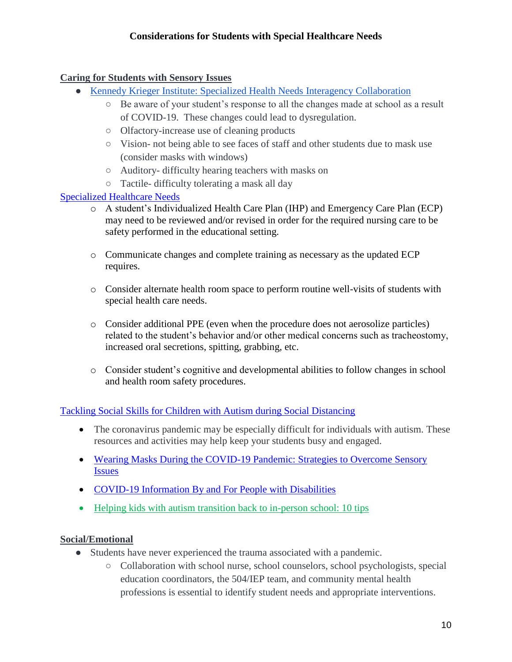### **Caring for Students with Sensory Issues**

- [Kennedy Krieger Institute: Specialized Health Needs Interagency Collaboration](https://www.kennedykrieger.org/sites/default/files/library/documents/community/specialized-health-needs-interagency-collaboration-shnic/SHNIC_Covid_SpecialHealthNeeds_Final4_07022020.pdf)
	- Be aware of your student's response to all the changes made at school as a result of COVID-19. These changes could lead to dysregulation.
	- Olfactory-increase use of cleaning products
	- Vision- not being able to see faces of staff and other students due to mask use (consider masks with windows)
	- Auditory- difficulty hearing teachers with masks on
	- Tactile- difficulty tolerating a mask all day

#### [Specialized Healthcare Needs](https://www.kennedykrieger.org/sites/default/files/library/documents/community/specialized-health-needs-interagency-collaboration-shnic/SHNIC_Covid_SpecialHealthNeeds_Final4_07022020.pdf)

- o A student's Individualized Health Care Plan (IHP) and Emergency Care Plan (ECP) may need to be reviewed and/or revised in order for the required nursing care to be safety performed in the educational setting.
- o Communicate changes and complete training as necessary as the updated ECP requires.
- o Consider alternate health room space to perform routine well-visits of students with special health care needs.
- o Consider additional PPE (even when the procedure does not aerosolize particles) related to the student's behavior and/or other medical concerns such as tracheostomy, increased oral secretions, spitting, grabbing, etc.
- o Consider student's cognitive and developmental abilities to follow changes in school and health room safety procedures.

#### [Tackling Social Skills for Children with Autism during Social Distancing](https://icahn.mssm.edu/research/seaver/resources/covid-19-autism-resources)

- The coronavirus pandemic may be especially difficult for individuals with autism. These resources and activities may help keep your students busy and engaged.
- [Wearing Masks During the COVID-19 Pandemic: Strategies to Overcome Sensory](https://icahn.mssm.edu/files/ISMMS/Assets/Research/Seaver/COVID-19-Webinar-Masks.pdf)  **[Issues](https://icahn.mssm.edu/files/ISMMS/Assets/Research/Seaver/COVID-19-Webinar-Masks.pdf)**
- COVID-19 Information By and For People with Disabilities
- [Helping kids with autism transition back to in-person school: 10 tips](https://health.ucdavis.edu/health-news/newsroom/helping-kids-with-autism-transition-back-to-in-person-school-10-tips/2021/03)

#### **Social/Emotional**

- Students have never experienced the trauma associated with a pandemic.
	- Collaboration with school nurse, school counselors, school psychologists, special education coordinators, the 504/IEP team, and community mental health professions is essential to identify student needs and appropriate interventions.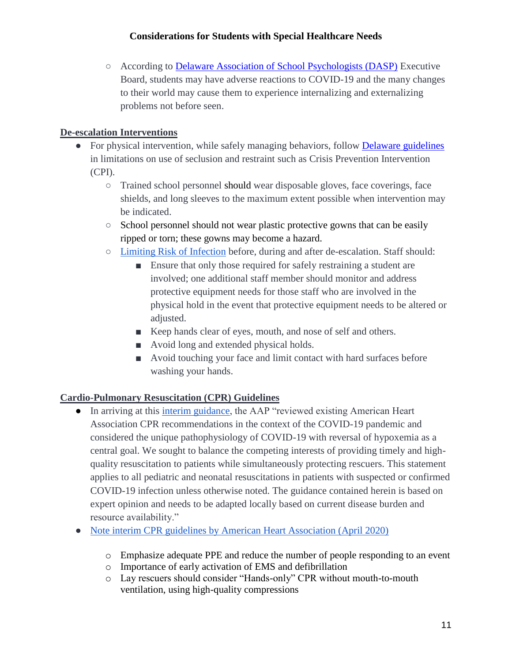○ According to [Delaware Association of School Psychologists \(DASP\)](http://www.dasponline.org/COVID-19-Resources) Executive Board, students may have adverse reactions to COVID-19 and the many changes to their world may cause them to experience internalizing and externalizing problems not before seen.

## **De-escalation Interventions**

- For physical intervention, while safely managing behaviors, follow [Delaware guidelines](https://regulations.delaware.gov/AdminCode/title14/600/610.shtml) in limitations on use of seclusion and restraint such as Crisis Prevention Intervention (CPI).
	- Trained school personnel should wear disposable gloves, face coverings, face shields, and long sleeves to the maximum extent possible when intervention may be indicated.
	- School personnel should not wear plastic protective gowns that can be easily ripped or torn; these gowns may become a hazard.
	- [Limiting Risk of Infection](https://www.health.state.mn.us/diseases/coronavirus/schools/directsupport.pdf) before, during and after de-escalation. Staff should:
		- Ensure that only those required for safely restraining a student are involved; one additional staff member should monitor and address protective equipment needs for those staff who are involved in the physical hold in the event that protective equipment needs to be altered or adjusted.
		- Keep hands clear of eyes, mouth, and nose of self and others.
		- Avoid long and extended physical holds.
		- Avoid touching your face and limit contact with hard surfaces before washing your hands.

# **Cardio-Pulmonary Resuscitation (CPR) Guidelines**

- In arriving at this [interim guidance,](https://pediatrics.aappublications.org/content/pediatrics/early/2020/04/13/peds.2020-1405.full.pdf) the AAP "reviewed existing American Heart Association CPR recommendations in the context of the COVID-19 pandemic and considered the unique pathophysiology of COVID-19 with reversal of hypoxemia as a central goal. We sought to balance the competing interests of providing timely and highquality resuscitation to patients while simultaneously protecting rescuers. This statement applies to all pediatric and neonatal resuscitations in patients with suspected or confirmed COVID-19 infection unless otherwise noted. The guidance contained herein is based on expert opinion and needs to be adapted locally based on current disease burden and resource availability."
- [Note interim CPR guidelines by American Heart Association \(April 2020\)](https://cpr.heart.org/-/media/cpr-files/resources/covid-19-resources-for-cpr-training/kj1426_resusc_covid_ptnts_200505_ac.pdf?la=en)
	- o Emphasize adequate PPE and reduce the number of people responding to an event
	- o Importance of early activation of EMS and defibrillation
	- o Lay rescuers should consider "Hands-only" CPR without mouth-to-mouth ventilation, using high-quality compressions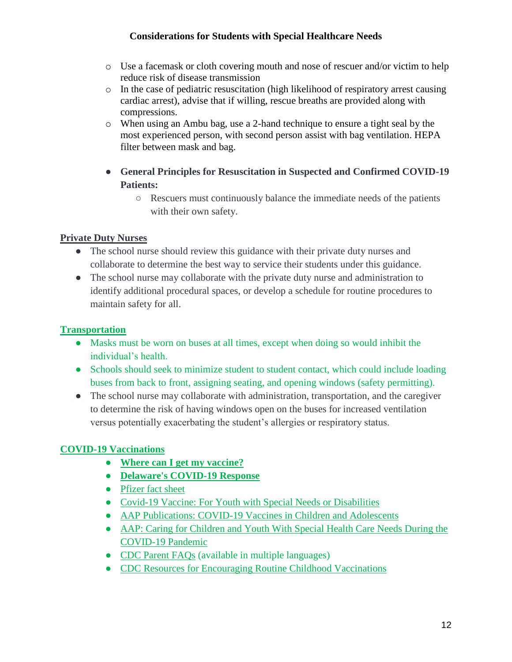- o Use a facemask or cloth covering mouth and nose of rescuer and/or victim to help reduce risk of disease transmission
- o In the case of pediatric resuscitation (high likelihood of respiratory arrest causing cardiac arrest), advise that if willing, rescue breaths are provided along with compressions.
- o When using an Ambu bag, use a 2-hand technique to ensure a tight seal by the most experienced person, with second person assist with bag ventilation. HEPA filter between mask and bag.
- **General Principles for Resuscitation in Suspected and Confirmed COVID-19 Patients:**
	- Rescuers must continuously balance the immediate needs of the patients with their own safety.

# **Private Duty Nurses**

- The school nurse should review this guidance with their private duty nurses and collaborate to determine the best way to service their students under this guidance.
- The school nurse may collaborate with the private duty nurse and administration to identify additional procedural spaces, or develop a schedule for routine procedures to maintain safety for all.

# **[Transportation](https://coronavirus.delaware.gov/schools-and-students/school-updates/)**

- Masks must be worn on buses at all times, except when doing so would inhibit the individual's health.
- Schools should seek to minimize student to student contact, which could include loading buses from back to front, assigning seating, and opening windows (safety permitting).
- The school nurse may collaborate with administration, transportation, and the caregiver to determine the risk of having windows open on the buses for increased ventilation versus potentially exacerbating the student's allergies or respiratory status.

# **COVID-19 Vaccinations**

- **[Where can I get my vaccine?](https://coronavirus.delaware.gov/vaccine/where-can-i-get-my-vaccine/)**
- **[Delaware's COVID-19 Response](https://coronavirus.delaware.gov/)**
- [Pfizer fact sheet](https://www.fda.gov/media/144414/download)
- [Covid-19 Vaccine: For Youth with Special Needs or Disabilities](https://www.health.state.mn.us/diseases/coronavirus/vaccine/vaxspecial.pdf)
- [AAP Publications: COVID-19 Vaccines in Children and Adolescents](https://pediatrics.aappublications.org/content/148/2/e2021052336)
- [AAP: Caring for Children and Youth With Special Health Care Needs During the](https://www.aap.org/en/pages/2019-novel-coronavirus-covid-19-infections/clinical-guidance/caring-for-children-and-youth-with-special-health-care-needs-during-the-covid-19-pandemic/)  [COVID-19 Pandemic](https://www.aap.org/en/pages/2019-novel-coronavirus-covid-19-infections/clinical-guidance/caring-for-children-and-youth-with-special-health-care-needs-during-the-covid-19-pandemic/)
- [CDC Parent FAQs](https://www.cdc.gov/coronavirus/2019-ncov/community/schools-childcare/parent-faqs.html#print) (available in multiple languages)
- CDC [Resources for Encouraging Routine Childhood Vaccinations](https://www.cdc.gov/vaccines/partners/childhood/stayingontrack.html)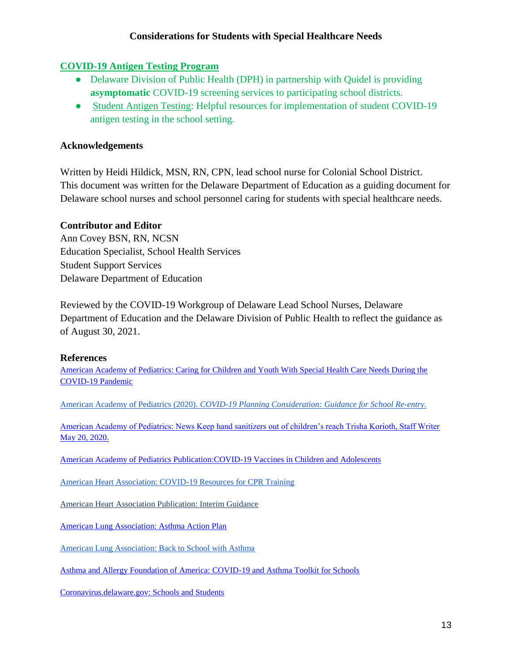#### **COVID-19 [Antigen Testing Program](https://www.dhsscovidschooltest.com/)**

- Delaware Division of Public Health (DPH) in partnership with Quidel is providing **asymptomatic** COVID-19 screening services to participating school districts.
- [Student Antigen Testing:](https://www.doe.k12.de.us/Page/4243) Helpful resources for implementation of student COVID-19 antigen testing in the school setting.

## **Acknowledgements**

Written by Heidi Hildick, MSN, RN, CPN, lead school nurse for Colonial School District. This document was written for the Delaware Department of Education as a guiding document for Delaware school nurses and school personnel caring for students with special healthcare needs.

#### **Contributor and Editor**

Ann Covey BSN, RN, NCSN Education Specialist, School Health Services Student Support Services Delaware Department of Education

Reviewed by the COVID-19 Workgroup of Delaware Lead School Nurses, Delaware Department of Education and the Delaware Division of Public Health to reflect the guidance as of August 30, 2021.

#### **References**

[American Academy of Pediatrics: Caring for Children and Youth With Special Health Care Needs During the](https://www.aap.org/en/pages/2019-novel-coronavirus-covid-19-infections/clinical-guidance/caring-for-children-and-youth-with-special-health-care-needs-during-the-covid-19-pandemic/)  [COVID-19 Pandemic](https://www.aap.org/en/pages/2019-novel-coronavirus-covid-19-infections/clinical-guidance/caring-for-children-and-youth-with-special-health-care-needs-during-the-covid-19-pandemic/)

[American Academy of Pediatrics \(2020\).](https://services.aap.org/en/pages/2019-novel-coronavirus-covid-19-infections/clinical-guidance/covid-19-planning-considerations-return-to-in-person-education-in-schools/) *[COVID-19 Planning Consideration: Guidance for School Re-entry.](https://services.aap.org/en/pages/2019-novel-coronavirus-covid-19-infections/clinical-guidance/covid-19-planning-considerations-return-to-in-person-education-in-schools/)*

[American Academy of Pediatrics: News Keep hand sanitizers out of children's reach Trisha Korioth, Staff Writer](https://www.aappublications.org/news/2020/05/20/parentplus052020#:~:text=The%20American%20Academy%20of%20Pediatrics%20urges%20parents%20to%20keep%20hand,when%20they%20use%20hand%20sanitizer.&text=Health%20experts%20recommend%20using%20hand,virus%20that%20causes%20COVID%2D19.)  [May 20, 2020.](https://www.aappublications.org/news/2020/05/20/parentplus052020#:~:text=The%20American%20Academy%20of%20Pediatrics%20urges%20parents%20to%20keep%20hand,when%20they%20use%20hand%20sanitizer.&text=Health%20experts%20recommend%20using%20hand,virus%20that%20causes%20COVID%2D19.)

[American Academy of Pediatrics Publication:COVID-19 Vaccines in Children and Adolescents](https://pediatrics.aappublications.org/content/148/2/e2021052336) 

[American Heart Association: COVID-19 Resources for CPR Training](https://cpr.heart.org/en/resources/coronavirus-covid19-resources-for-cpr-training)

[American Heart Association Publication: Interim Guidance](https://pediatrics.aappublications.org/content/pediatrics/early/2020/04/13/peds.2020-1405.full.pdf)

[American Lung Association: Asthma Action Plan](https://www.lung.org/getmedia/d5d45eb2-d424-40a5-a0d0-003edbfcbee4/asthma-action-plan-for-home.pdf.pdf)

[American Lung Association: Back to School with Asthma](https://www.lung.org/blog/back-to-school-with-asthma-during-covid)

[Asthma and Allergy Foundation of America: COVID-19 and Asthma Toolkit for Schools](https://www.aafa.org/managing-asthma-and-covid19-in-school)

[Coronavirus.delaware.gov: Schools and Students](https://coronavirus.delaware.gov/schools-and-students/school-updates/)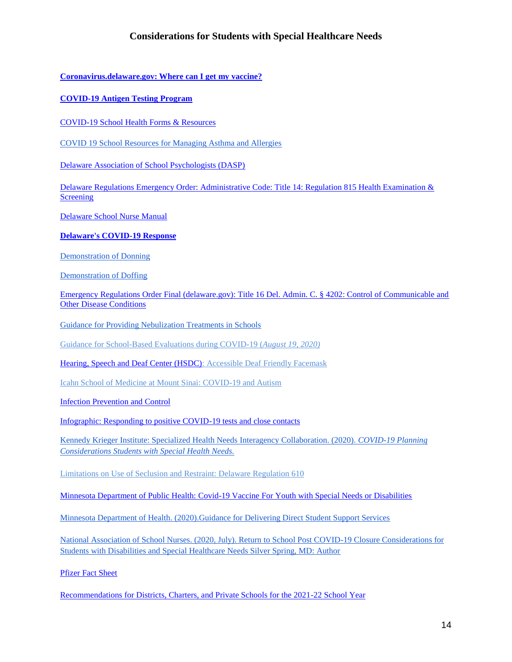**[Coronavirus.delaware.gov: Where can I get my vaccine?](https://coronavirus.delaware.gov/vaccine/where-can-i-get-my-vaccine/)**

**[COVID-19 Antigen Testing Program](https://www.dhsscovidschooltest.com/)**

[COVID-19 School Health Forms & Resources](https://www.doe.k12.de.us/Page/4243)

COVID 19 [School Resources for Managing Asthma and Allergies](https://allergyasthmanetwork.org/health-a-z/covid-19/covid-19-school-resources-for-managing-asthma-and-allergies/)

[Delaware Association of School Psychologists \(DASP\)](http://www.dasponline.org/COVID-19-Resources)

[Delaware Regulations Emergency Order: Administrative Code: Title 14: Regulation 815 Health Examination &](https://governor.delaware.gov/wp-content/uploads/sites/24/2021/08/DDOE-815-Health-Examinations-and-Screening.pdf)  **[Screening](https://governor.delaware.gov/wp-content/uploads/sites/24/2021/08/DDOE-815-Health-Examinations-and-Screening.pdf)** 

[Delaware School Nurse Manual](https://www.doe.k12.de.us/Page/2866)

**[Delaware's COVID-19 Response](https://coronavirus.delaware.gov/)**

[Demonstration of Donning](https://www.youtube.com/watch?v=H4jQUBAlBrI)

[Demonstration of Doffing](https://www.youtube.com/watch?v=PQxOc13DxvQ)

[Emergency Regulations Order Final \(delaware.gov\): Title 16 Del. Admin. C. § 4202: Control of Communicable and](https://governor.delaware.gov/wp-content/uploads/sites/24/2021/08/DHSS-4202-Control-of-Communicable-and-Other-Disease-Conditions.pdf)  [Other Disease Conditions](https://governor.delaware.gov/wp-content/uploads/sites/24/2021/08/DHSS-4202-Control-of-Communicable-and-Other-Disease-Conditions.pdf)

[Guidance for Providing Nebulization Treatments in Schools](https://www.health.state.mn.us/diseases/coronavirus/schools/nebulization.pdf)

[Guidance for School-Based Evaluations during COVID-19 \(](http://www.dasponline.org/resources/Documents/DASP%20-%20Guidance%20for%20School-Based%20Evaluations%20During%20COVID-19.pdf)*August 19, 2020)*

[Hearing, Speech and Deaf Center \(HSDC\):](https://www.hsdc.org/accessible-deaf-friendly-face-mask/) Accessible Deaf Friendly Facemask

[Icahn School of Medicine at Mount Sinai: COVID-19 and Autism](https://icahn.mssm.edu/research/seaver/resources/covid-19-autism-resources)

[Infection Prevention and Control](http://ipac.vch.ca/Documents/Acute%20Resource%20manual/Aerosol%20Generating%20Medical%20Procedures.pdf)

[Infographic: Responding to positive COVID-19 tests and close contacts](https://www.doe.k12.de.us/cms/lib/DE01922744/Centricity/Domain/600/infographic_fall2021.pdf)

[Kennedy Krieger Institute: Specialized Health Needs Interagency Collaboration. \(2020\).](https://www.kennedykrieger.org/sites/default/files/library/documents/community/specialized-health-needs-interagency-collaboration-shnic/SHNIC_Covid_SpecialHealthNeeds_Final4_07022020.pdf) *[COVID-19 Planning](https://www.kennedykrieger.org/sites/default/files/library/documents/community/specialized-health-needs-interagency-collaboration-shnic/SHNIC_Covid_SpecialHealthNeeds_Final4_07022020.pdf)  [Considerations Students with Special Health Needs.](https://www.kennedykrieger.org/sites/default/files/library/documents/community/specialized-health-needs-interagency-collaboration-shnic/SHNIC_Covid_SpecialHealthNeeds_Final4_07022020.pdf)*

[Limitations on Use of Seclusion and Restraint: Delaware Regulation 610](https://regulations.delaware.gov/AdminCode/title14/600/610.shtml)

[Minnesota Department of Public Health: Covid-19 Vaccine](https://www.health.state.mn.us/diseases/coronavirus/vaccine/vaxspecial.pdf) For Youth with Special Needs or Disabilities

[Minnesota Department of Health. \(2020\).Guidance for Delivering Direct Student Support Services](https://www.health.state.mn.us/diseases/coronavirus/schools/directsupport.pdf) 

[National Association of School Nurses. \(2020, July\). Return to School Post COVID-19 Closure Considerations for](https://higherlogicdownload.s3.amazonaws.com/NASN/3870c72d-fff9-4ed7-833f-215de278d256/UploadedImages/PDFs/2020_07_23_Considerations_for_Post_COVID_Return_to_School_for_Students_with_Disabilities_and_Special_Healthcare_Needs.pdf)  [Students with Disabilities and Special Healthcare Needs Silver Spring, MD: Author](https://higherlogicdownload.s3.amazonaws.com/NASN/3870c72d-fff9-4ed7-833f-215de278d256/UploadedImages/PDFs/2020_07_23_Considerations_for_Post_COVID_Return_to_School_for_Students_with_Disabilities_and_Special_Healthcare_Needs.pdf)

[Pfizer Fact Sheet](https://www.fda.gov/media/144414/download)

[Recommendations for Districts, Charters, and Private Schools for the 2021-22 School Year](https://www.doe.k12.de.us/cms/lib/DE01922744/Centricity/Domain/150/DDOEDPH%20%20Recommendations.pdf)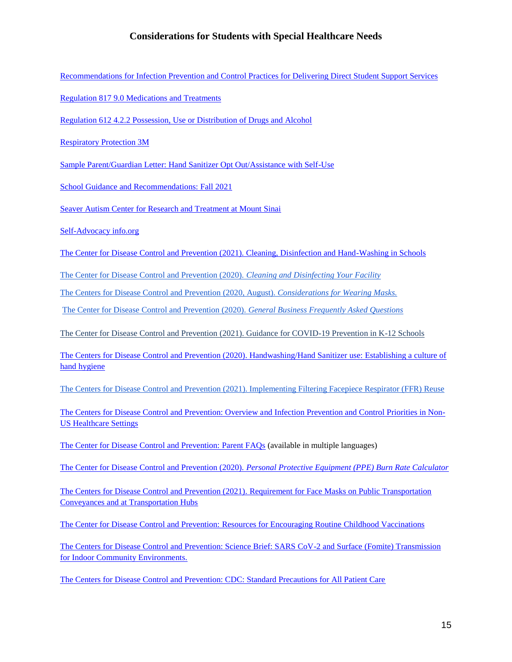[Recommendations for Infection Prevention and Control Practices for Delivering Direct Student Support Services](https://www.health.state.mn.us/diseases/coronavirus/schools/directsupport.pdf)

[Regulation 817 9.0 Medications and Treatments](https://regulations.delaware.gov/AdminCode/title14/800/817.shtml)

[Regulation 612 4.2.2 Possession, Use or Distribution of Drugs and Alcohol](https://regulations.delaware.gov/AdminCode/title14/600/612.shtml)

[Respiratory Protection 3M](https://www.3m.com/3M/en_US/safety-centers-of-expertise-us/respiratory-protection/fit-testing/)

[Sample Parent/Guardian Letter: Hand Sanitizer Opt Out/Assistance with Self-Use](https://www.doe.k12.de.us/cms/lib/DE01922744/Centricity/Domain/150/Sample%20Parent%20Guardian%20Letter%20Hand%20Sanitizer%20Opt%20Out%20Assistance%20with%20Self-Use.docx)

[School Guidance and Recommendations: Fall 2021](https://www.doe.k12.de.us/cms/lib/DE01922744/Centricity/Domain/600/guidance_fall2021.pdf)

Seaver Autism Center [for Research and Treatment at Mount Sinai](https://icahn.mssm.edu/files/ISMMS/Assets/Research/Seaver/COVID-19-Webinar-Masks.pdf)

[Self-Advocacy info.org](https://selfadvocacyinfo.org/wp-content/uploads/2020/03/Plain-Language-Information-on-Coronavirus.pdf)

[The Center for Disease Control and Prevention \(2021\). Cleaning, Disinfection and Hand-Washing in Schools](https://www.cdc.gov/coronavirus/2019-ncov/community/schools-childcare/clean-disinfect-hygiene.html.)

[The Center for Disease Control and Prevention \(2020\).](https://www.cdc.gov/coronavirus/2019-ncov/community/disinfecting-building-facility.html) *[Cleaning and Disinfecting Your Facility](https://www.cdc.gov/coronavirus/2019-ncov/community/disinfecting-building-facility.html)*

[The Centers for Disease Control and Prevention \(2020, August\).](https://www.cdc.gov/coronavirus/2019-ncov/prevent-getting-sick/cloth-face-cover-guidance.html#feasibility-adaptations) *[Considerations for Wearing Masks.](https://www.cdc.gov/coronavirus/2019-ncov/prevent-getting-sick/cloth-face-cover-guidance.html#feasibility-adaptations)*

[The Center for Disease Control and Prevention \(2020\).](https://www.cdc.gov/coronavirus/2019-ncov/community/general-business-faq.html#:~:text=Discard%20PPE%20into%20a%20trash,does%20not%20need%20disinfection) *[General Business Frequently Asked Questions](https://www.cdc.gov/coronavirus/2019-ncov/community/general-business-faq.html#:~:text=Discard%20PPE%20into%20a%20trash,does%20not%20need%20disinfection)*

The Center for Disease Control and Prevention [\(2021\). Guidance for COVID-19 Prevention in K-12 Schools](https://www.cdc.gov/coronavirus/2019-ncov/community/schools-childcare/k-12-guidance.html#print)

[The Centers for Disease Control and Prevention \(2020\). Handwashing/Hand Sanitizer use: Establishing a culture of](https://www.cdc.gov/handwashing/hand-sanitizer-use.html)  [hand hygiene](https://www.cdc.gov/handwashing/hand-sanitizer-use.html)

[The Centers for Disease Control and Prevention \(2021\). Implementing Filtering Facepiece Respirator \(FFR\) Reuse](https://www.cdc.gov/niosh/topics/hcwcontrols/recommendedguidanceextuse.html)

[The Centers for Disease Control and Prevention: Overview and Infection Prevention and Control Priorities in Non-](https://www.cdc.gov/coronavirus/2019-ncov/hcp/non-us-settings/overview/#standard-based-precautions)[US Healthcare Settings](https://www.cdc.gov/coronavirus/2019-ncov/hcp/non-us-settings/overview/#standard-based-precautions)

[The Center for Disease Control and Prevention:](https://www.cdc.gov/coronavirus/2019-ncov/community/schools-childcare/parent-faqs.html#print) Parent FAQs (available in multiple languages)

[The Center for Disease Control and Prevention \(2020\).](https://www.cdc.gov/coronavirus/2019-ncov/hcp/ppe-strategy/burn-calculator.html) *[Personal Protective Equipment \(PPE\) Burn Rate Calculator](https://www.cdc.gov/coronavirus/2019-ncov/hcp/ppe-strategy/burn-calculator.html)* 

[The Centers for Disease Control and Prevention \(2021\). Requirement for Face Masks on Public Transportation](https://www.cdc.gov/coronavirus/2019-ncov/travelers/face-masks-public-transportation.html)  [Conveyances and at Transportation Hubs](https://www.cdc.gov/coronavirus/2019-ncov/travelers/face-masks-public-transportation.html)

[The Center for Disease Control and Prevention:](https://www.cdc.gov/vaccines/partners/childhood/stayingontrack.html) Resources for Encouraging Routine Childhood Vaccinations

[The Centers for Disease Control and Prevention: Science Brief: SARS CoV-2 and Surface \(Fomite\) Transmission](https://www.cdc.gov/coronavirus/2019-ncov/more/science-and-research/surface-transmission.html)  [for Indoor Community Environments.](https://www.cdc.gov/coronavirus/2019-ncov/more/science-and-research/surface-transmission.html)

[The Centers for Disease Control and Prevention: CDC: Standard Precautions for All Patient Care](http://www.cdc.gov/infectioncontrol/basics/standard-precautions.html)